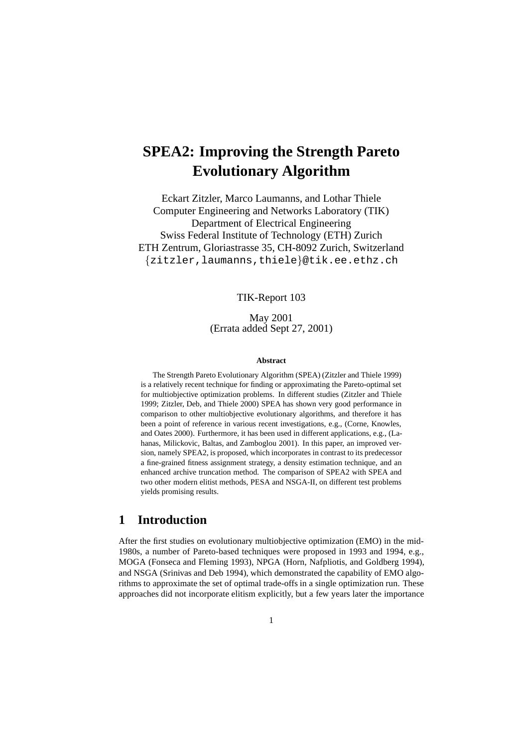# **SPEA2: Improving the Strength Pareto Evolutionary Algorithm**

Eckart Zitzler, Marco Laumanns, and Lothar Thiele Computer Engineering and Networks Laboratory (TIK) Department of Electrical Engineering Swiss Federal Institute of Technology (ETH) Zurich ETH Zentrum, Gloriastrasse 35, CH-8092 Zurich, Switzerland {zitzler,laumanns,thiele}@tik.ee.ethz.ch

TIK-Report 103

May 2001 (Errata added Sept 27, 2001)

#### **Abstract**

The Strength Pareto Evolutionary Algorithm (SPEA) (Zitzler and Thiele 1999) is a relatively recent technique for finding or approximating the Pareto-optimal set for multiobjective optimization problems. In different studies (Zitzler and Thiele 1999; Zitzler, Deb, and Thiele 2000) SPEA has shown very good performance in comparison to other multiobjective evolutionary algorithms, and therefore it has been a point of reference in various recent investigations, e.g., (Corne, Knowles, and Oates 2000). Furthermore, it has been used in different applications, e.g., (Lahanas, Milickovic, Baltas, and Zamboglou 2001). In this paper, an improved version, namely SPEA2, is proposed, which incorporates in contrast to its predecessor a fine-grained fitness assignment strategy, a density estimation technique, and an enhanced archive truncation method. The comparison of SPEA2 with SPEA and two other modern elitist methods, PESA and NSGA-II, on different test problems yields promising results.

# **1 Introduction**

After the first studies on evolutionary multiobjective optimization (EMO) in the mid-1980s, a number of Pareto-based techniques were proposed in 1993 and 1994, e.g., MOGA (Fonseca and Fleming 1993), NPGA (Horn, Nafpliotis, and Goldberg 1994), and NSGA (Srinivas and Deb 1994), which demonstrated the capability of EMO algorithms to approximate the set of optimal trade-offs in a single optimization run. These approaches did not incorporate elitism explicitly, but a few years later the importance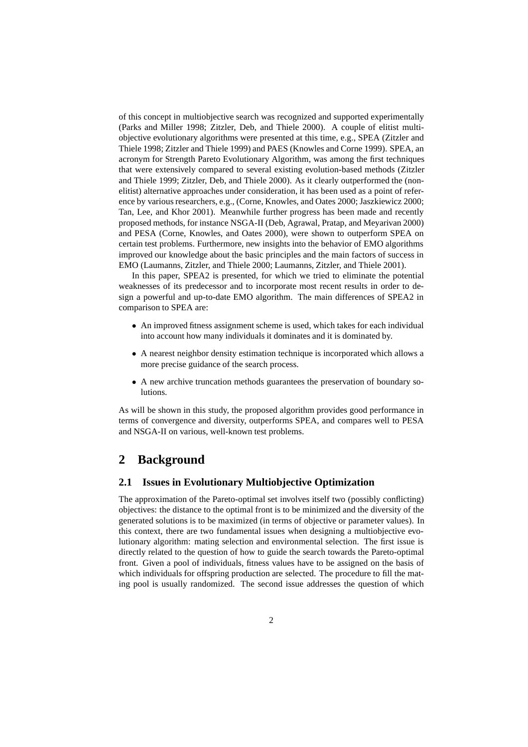of this concept in multiobjective search was recognized and supported experimentally (Parks and Miller 1998; Zitzler, Deb, and Thiele 2000). A couple of elitist multiobjective evolutionary algorithms were presented at this time, e.g., SPEA (Zitzler and Thiele 1998; Zitzler and Thiele 1999) and PAES (Knowles and Corne 1999). SPEA, an acronym for Strength Pareto Evolutionary Algorithm, was among the first techniques that were extensively compared to several existing evolution-based methods (Zitzler and Thiele 1999; Zitzler, Deb, and Thiele 2000). As it clearly outperformed the (nonelitist) alternative approaches under consideration, it has been used as a point of reference by various researchers, e.g., (Corne, Knowles, and Oates 2000; Jaszkiewicz 2000; Tan, Lee, and Khor 2001). Meanwhile further progress has been made and recently proposed methods, for instance NSGA-II (Deb, Agrawal, Pratap, and Meyarivan 2000) and PESA (Corne, Knowles, and Oates 2000), were shown to outperform SPEA on certain test problems. Furthermore, new insights into the behavior of EMO algorithms improved our knowledge about the basic principles and the main factors of success in EMO (Laumanns, Zitzler, and Thiele 2000; Laumanns, Zitzler, and Thiele 2001).

In this paper, SPEA2 is presented, for which we tried to eliminate the potential weaknesses of its predecessor and to incorporate most recent results in order to design a powerful and up-to-date EMO algorithm. The main differences of SPEA2 in comparison to SPEA are:

- An improved fitness assignment scheme is used, which takes for each individual into account how many individuals it dominates and it is dominated by.
- A nearest neighbor density estimation technique is incorporated which allows a more precise guidance of the search process.
- A new archive truncation methods guarantees the preservation of boundary solutions.

As will be shown in this study, the proposed algorithm provides good performance in terms of convergence and diversity, outperforms SPEA, and compares well to PESA and NSGA-II on various, well-known test problems.

# **2 Background**

#### **2.1 Issues in Evolutionary Multiobjective Optimization**

The approximation of the Pareto-optimal set involves itself two (possibly conflicting) objectives: the distance to the optimal front is to be minimized and the diversity of the generated solutions is to be maximized (in terms of objective or parameter values). In this context, there are two fundamental issues when designing a multiobjective evolutionary algorithm: mating selection and environmental selection. The first issue is directly related to the question of how to guide the search towards the Pareto-optimal front. Given a pool of individuals, fitness values have to be assigned on the basis of which individuals for offspring production are selected. The procedure to fill the mating pool is usually randomized. The second issue addresses the question of which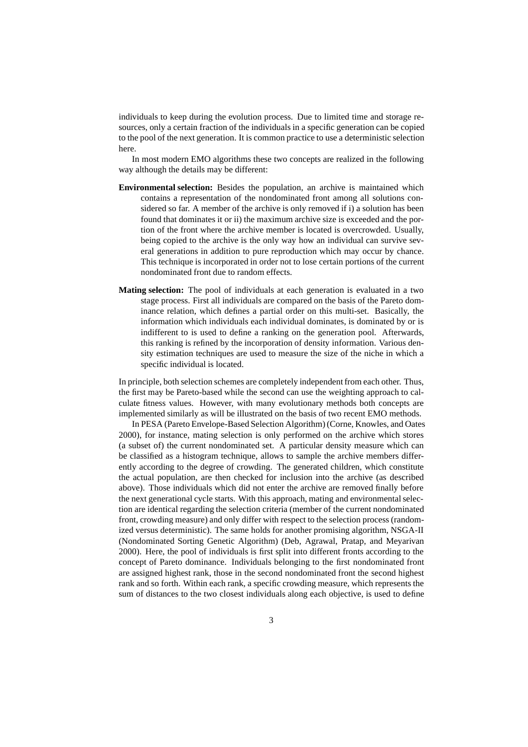individuals to keep during the evolution process. Due to limited time and storage resources, only a certain fraction of the individuals in a specific generation can be copied to the pool of the next generation. It is common practice to use a deterministic selection here.

In most modern EMO algorithms these two concepts are realized in the following way although the details may be different:

- **Environmental selection:** Besides the population, an archive is maintained which contains a representation of the nondominated front among all solutions considered so far. A member of the archive is only removed if i) a solution has been found that dominates it or ii) the maximum archive size is exceeded and the portion of the front where the archive member is located is overcrowded. Usually, being copied to the archive is the only way how an individual can survive several generations in addition to pure reproduction which may occur by chance. This technique is incorporated in order not to lose certain portions of the current nondominated front due to random effects.
- **Mating selection:** The pool of individuals at each generation is evaluated in a two stage process. First all individuals are compared on the basis of the Pareto dominance relation, which defines a partial order on this multi-set. Basically, the information which individuals each individual dominates, is dominated by or is indifferent to is used to define a ranking on the generation pool. Afterwards, this ranking is refined by the incorporation of density information. Various density estimation techniques are used to measure the size of the niche in which a specific individual is located.

In principle, both selection schemes are completely independent from each other. Thus, the first may be Pareto-based while the second can use the weighting approach to calculate fitness values. However, with many evolutionary methods both concepts are implemented similarly as will be illustrated on the basis of two recent EMO methods.

In PESA (Pareto Envelope-Based Selection Algorithm) (Corne, Knowles, and Oates 2000), for instance, mating selection is only performed on the archive which stores (a subset of) the current nondominated set. A particular density measure which can be classified as a histogram technique, allows to sample the archive members differently according to the degree of crowding. The generated children, which constitute the actual population, are then checked for inclusion into the archive (as described above). Those individuals which did not enter the archive are removed finally before the next generational cycle starts. With this approach, mating and environmental selection are identical regarding the selection criteria (member of the current nondominated front, crowding measure) and only differ with respect to the selection process (randomized versus deterministic). The same holds for another promising algorithm, NSGA-II (Nondominated Sorting Genetic Algorithm) (Deb, Agrawal, Pratap, and Meyarivan 2000). Here, the pool of individuals is first split into different fronts according to the concept of Pareto dominance. Individuals belonging to the first nondominated front are assigned highest rank, those in the second nondominated front the second highest rank and so forth. Within each rank, a specific crowding measure, which represents the sum of distances to the two closest individuals along each objective, is used to define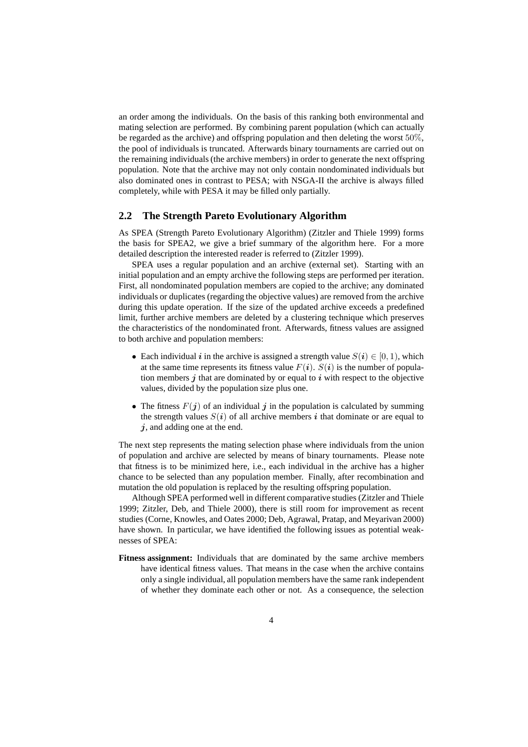an order among the individuals. On the basis of this ranking both environmental and mating selection are performed. By combining parent population (which can actually be regarded as the archive) and offspring population and then deleting the worst 50%, the pool of individuals is truncated. Afterwards binary tournaments are carried out on the remaining individuals (the archive members) in order to generate the next offspring population. Note that the archive may not only contain nondominated individuals but also dominated ones in contrast to PESA; with NSGA-II the archive is always filled completely, while with PESA it may be filled only partially.

#### **2.2 The Strength Pareto Evolutionary Algorithm**

As SPEA (Strength Pareto Evolutionary Algorithm) (Zitzler and Thiele 1999) forms the basis for SPEA2, we give a brief summary of the algorithm here. For a more detailed description the interested reader is referred to (Zitzler 1999).

SPEA uses a regular population and an archive (external set). Starting with an initial population and an empty archive the following steps are performed per iteration. First, all nondominated population members are copied to the archive; any dominated individuals or duplicates (regarding the objective values) are removed from the archive during this update operation. If the size of the updated archive exceeds a predefined limit, further archive members are deleted by a clustering technique which preserves the characteristics of the nondominated front. Afterwards, fitness values are assigned to both archive and population members:

- Each individual *i* in the archive is assigned a strength value  $S(i) \in [0, 1)$ , which at the same time represents its fitness value  $F(i)$ .  $S(i)$  is the number of population members  $j$  that are dominated by or equal to  $i$  with respect to the objective values, divided by the population size plus one.
- The fitness  $F(j)$  of an individual *j* in the population is calculated by summing the strength values  $S(i)$  of all archive members *i* that dominate or are equal to *j*, and adding one at the end.

The next step represents the mating selection phase where individuals from the union of population and archive are selected by means of binary tournaments. Please note that fitness is to be minimized here, i.e., each individual in the archive has a higher chance to be selected than any population member. Finally, after recombination and mutation the old population is replaced by the resulting offspring population.

Although SPEA performed well in different comparative studies (Zitzler and Thiele 1999; Zitzler, Deb, and Thiele 2000), there is still room for improvement as recent studies (Corne, Knowles, and Oates 2000; Deb, Agrawal, Pratap, and Meyarivan 2000) have shown. In particular, we have identified the following issues as potential weaknesses of SPEA:

**Fitness assignment:** Individuals that are dominated by the same archive members have identical fitness values. That means in the case when the archive contains only a single individual, all population members have the same rank independent of whether they dominate each other or not. As a consequence, the selection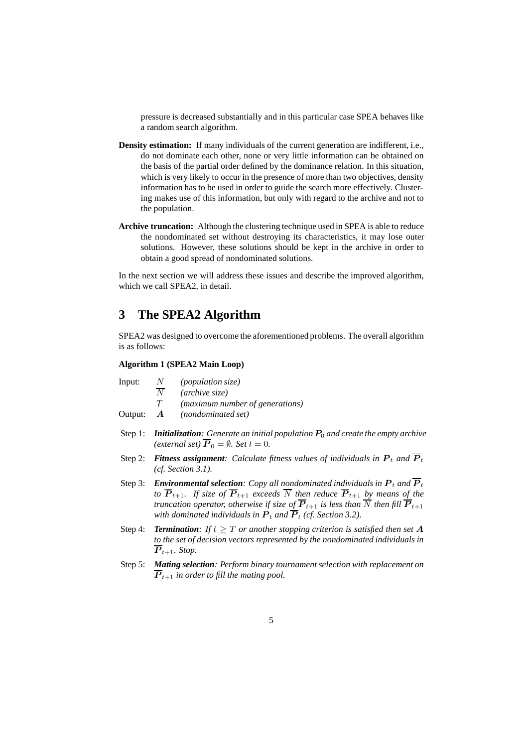pressure is decreased substantially and in this particular case SPEA behaves like a random search algorithm.

- **Density estimation:** If many individuals of the current generation are indifferent, i.e., do not dominate each other, none or very little information can be obtained on the basis of the partial order defined by the dominance relation. In this situation, which is very likely to occur in the presence of more than two objectives, density information has to be used in order to guide the search more effectively. Clustering makes use of this information, but only with regard to the archive and not to the population.
- **Archive truncation:** Although the clustering technique used in SPEA is able to reduce the nondominated set without destroying its characteristics, it may lose outer solutions. However, these solutions should be kept in the archive in order to obtain a good spread of nondominated solutions.

In the next section we will address these issues and describe the improved algorithm, which we call SPEA2, in detail.

# **3 The SPEA2 Algorithm**

SPEA2 was designed to overcome the aforementioned problems. The overall algorithm is as follows:

## **Algorithm 1 (SPEA2 Main Loop)**

- Input:  $\frac{N}{N}$  *(population size)*<br>*(archive size)* 
	- $\overline{N}$  *(archive size)*<br> $T$  *(maximum nu*
	- T *(maximum number of generations)*
- Output: *A (nondominated set)*
- Step 1: *Initialization: Generate an initial population* $P_0$ *and create the empty archive (external set)*  $\overline{P}_0 = \emptyset$ *. Set*  $t = 0$ *.*
- Step 2: **Fitness assignment**: Calculate fitness values of individuals in  $P_t$  and  $\overline{P}_t$ *(cf. Section 3.1).*
- Step 3: *Environmental selection: Copy all nondominated individuals in*  $P_t$  *and*  $\overline{P}_t$ *to*  $\overline{P}_{t+1}$ *. If size of*  $\overline{P}_{t+1}$  *exceeds*  $\overline{N}$  *then reduce*  $\overline{P}_{t+1}$  *by means of the truncation operator, otherwise if size of*  $P_{t+1}$  *is less than* N *then fill*  $P_{t+1}$  *with dominated individuals in*  $P_t$  *and*  $\overline{P}_t$  (*cf. Section 3.2*).
- Step 4: **Termination**: If  $t \geq T$  or another stopping criterion is satisfied then set A *to the set of decision vectors represented by the nondominated individuals in*  $\overline{P}_{t+1}$ *. Stop.*
- Step 5: *Mating selection: Perform binary tournament selection with replacement on*  $\overline{P}_{t+1}$  *in order to fill the mating pool.*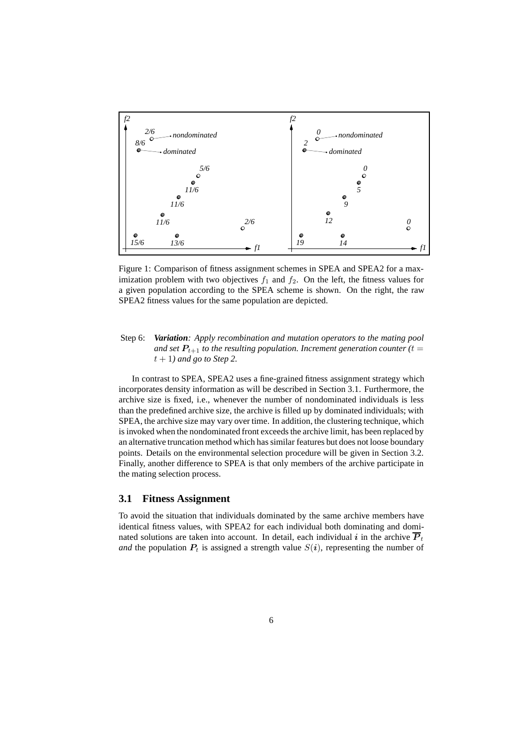

Figure 1: Comparison of fitness assignment schemes in SPEA and SPEA2 for a maximization problem with two objectives  $f_1$  and  $f_2$ . On the left, the fitness values for a given population according to the SPEA scheme is shown. On the right, the raw SPEA2 fitness values for the same population are depicted.

Step 6: *Variation: Apply recombination and mutation operators to the mating pool and set*  $P_{t+1}$  *to the resulting population. Increment generation counter (t =*  $\frac{1}{t}$  $t + 1$ *) and go to Step 2.* 

In contrast to SPEA, SPEA2 uses a fine-grained fitness assignment strategy which incorporates density information as will be described in Section 3.1. Furthermore, the archive size is fixed, i.e., whenever the number of nondominated individuals is less than the predefined archive size, the archive is filled up by dominated individuals; with SPEA, the archive size may vary over time. In addition, the clustering technique, which is invoked when the nondominated front exceeds the archive limit, has been replaced by an alternative truncation method which has similar features but does not loose boundary points. Details on the environmental selection procedure will be given in Section 3.2. Finally, another difference to SPEA is that only members of the archive participate in the mating selection process.

## **3.1 Fitness Assignment**

To avoid the situation that individuals dominated by the same archive members have identical fitness values, with SPEA2 for each individual both dominating and dominated solutions are taken into account. In detail, each individual *i* in the archive  $\overline{P}_t$ *and* the population  $P_t$  is assigned a strength value  $S(i)$ , representing the number of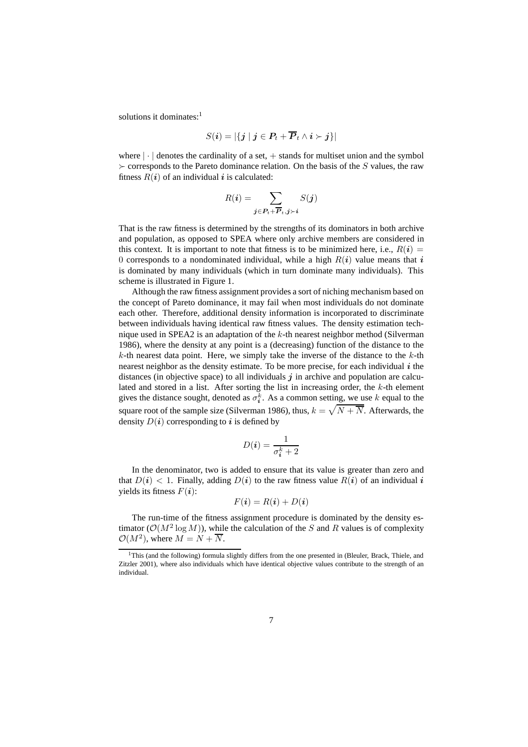solutions it dominates:<sup>1</sup>

$$
S(\boldsymbol{i})=|\{j\mid j\in P_t+\overline{P}_t\wedge i\succ j\}|
$$

where  $|\cdot|$  denotes the cardinality of a set,  $+$  stands for multiset union and the symbol  $\geq$  corresponds to the Pareto dominance relation. On the basis of the S values, the raw fitness  $R(i)$  of an individual *i* is calculated:

$$
R(\boldsymbol{i}) = \sum_{\boldsymbol{j} \in \boldsymbol{P}_t + \overline{\boldsymbol{P}}_t, \boldsymbol{j} \succ \boldsymbol{i}} S(\boldsymbol{j})
$$

That is the raw fitness is determined by the strengths of its dominators in both archive and population, as opposed to SPEA where only archive members are considered in this context. It is important to note that fitness is to be minimized here, i.e.,  $R(i)$  = 0 corresponds to a nondominated individual, while a high  $R(i)$  value means that *i* is dominated by many individuals (which in turn dominate many individuals). This scheme is illustrated in Figure 1.

Although the raw fitness assignment provides a sort of niching mechanism based on the concept of Pareto dominance, it may fail when most individuals do not dominate each other. Therefore, additional density information is incorporated to discriminate between individuals having identical raw fitness values. The density estimation technique used in SPEA2 is an adaptation of the  $k$ -th nearest neighbor method (Silverman 1986), where the density at any point is a (decreasing) function of the distance to the  $k$ -th nearest data point. Here, we simply take the inverse of the distance to the  $k$ -th nearest neighbor as the density estimate. To be more precise, for each individual *i* the distances (in objective space) to all individuals *j* in archive and population are calculated and stored in a list. After sorting the list in increasing order, the k-th element<br>gives the distance sought, denoted as  $\sigma^k$ . As a common setting, we use k-equal to the gives the distance sought, denoted as  $\sigma_i^k$ . As a common setting, we use k equal to the square root of the sample size (Silverman 1986), thus,  $k = \sqrt{N + \overline{N}}$ . Afterwards, the density  $D(i)$  corresponding to *i* is defined by density  $D(i)$  corresponding to *i* is defined by

$$
D(i) = \frac{1}{\sigma_i^k + 2}
$$

In the denominator, two is added to ensure that its value is greater than zero and that  $D(i) < 1$ . Finally, adding  $D(i)$  to the raw fitness value  $R(i)$  of an individual *i* yields its fitness  $F(i)$ :

$$
F(\boldsymbol{i}) = R(\boldsymbol{i}) + D(\boldsymbol{i})
$$

The run-time of the fitness assignment procedure is dominated by the density estimator ( $\mathcal{O}(M^2 \log M)$ ), while the calculation of the S and R values is of complexity  $\mathcal{O}(M^2)$ , where  $M = N + \overline{N}$ .

 $1$ This (and the following) formula slightly differs from the one presented in (Bleuler, Brack, Thiele, and Zitzler 2001), where also individuals which have identical objective values contribute to the strength of an individual.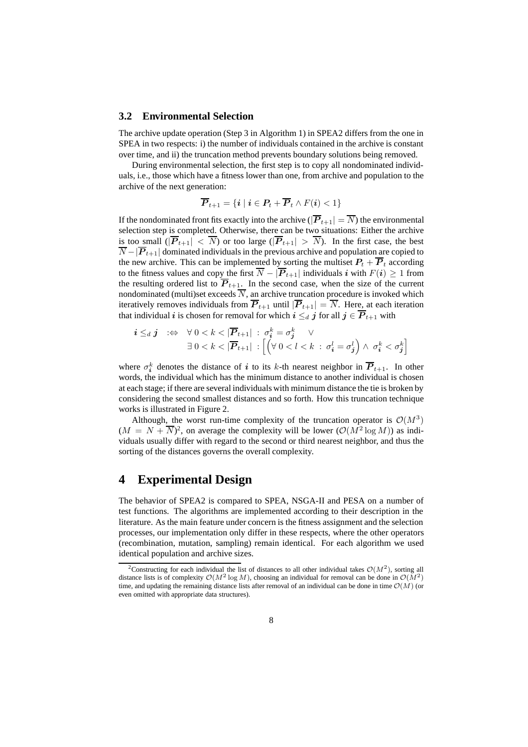#### **3.2 Environmental Selection**

The archive update operation (Step 3 in Algorithm 1) in SPEA2 differs from the one in SPEA in two respects: i) the number of individuals contained in the archive is constant over time, and ii) the truncation method prevents boundary solutions being removed.

During environmental selection, the first step is to copy all nondominated individuals, i.e., those which have a fitness lower than one, from archive and population to the archive of the next generation:

$$
\overline{P}_{t+1} = \{i \mid i \in P_t + \overline{P}_t \wedge F(i) < 1\}
$$

If the nondominated front fits exactly into the archive ( $|\overline{P}_{t+1}| = \overline{N}$ ) the environmental selection step is completed. Otherwise, there can be two situations: Either the archive is too small  $(|P_{t+1}| < N)$  or too large  $(|P_{t+1}| > N)$ . In the first case, the best  $\overline{N}$  =  $|\overline{P}_{t+1}|$  dominated individuals in the previous archive and population are conject to  $\overline{N} - |\overline{P}_{t+1}|$  dominated individuals in the previous archive and population are copied to the new archive. This can be implemented by sorting the multiset  $P_1 + \overline{P}_2$  according the new archive. This can be implemented by sorting the multiset  $P_t + \overline{P}_t$  according<br>to the fitness values and copy the first  $\overline{N} = |\overline{P}_{t+1}|$  individuals *i* with  $F(i) > 1$  from to the fitness values and copy the first  $\overline{N} - |\overline{P}_{t+1}|$  individuals *i* with  $F(i) \ge 1$  from the resulting ordered list to  $\overline{P}_{t+1}$ . In the second case, when the size of the current the resulting ordered list to  $P_{t+1}$ . In the second case, when the size of the current nondominated (multi)set exceeds N, an archive truncation procedure is invoked which<br>iteratively removes individuals from  $\overline{P}_{\text{total}}$  in  $\overline{P}_{\text{total}} = \overline{N}$ . Here at each iteration iteratively removes individuals from  $\overline{P}_{t+1}$  until  $|\overline{P}_{t+1}| = \overline{N}$ . Here, at each iteration that individual *i* is chosen for removal for which  $i \leq d$  *j* for all  $j \in \overline{P}_{t+1}$  with

$$
\begin{array}{ll}\n\boldsymbol{i} \leq_d \boldsymbol{j} & \Rightarrow \quad \forall \ 0 < k < |\overline{\mathbf{P}}_{t+1}| \; : \; \sigma_i^k = \sigma_j^k \quad \vee \\
& \exists \ 0 < k < |\overline{\mathbf{P}}_{t+1}| \; : \left[ \left( \forall \ 0 < l < k \; : \; \sigma_i^l = \sigma_j^l \right) \land \; \sigma_i^k < \sigma_j^k \right]\n\end{array}
$$

where  $\sigma_i^k$  denotes the distance of *i* to its k-th nearest neighbor in  $\overline{P}_{t+1}$ . In other words the individual which has the minimum distance to another individual is chosen words, the individual which has the minimum distance to another individual is chosen at each stage; if there are several individuals with minimum distance the tie is broken by considering the second smallest distances and so forth. How this truncation technique works is illustrated in Figure 2.

Although, the worst run-time complexity of the truncation operator is  $\mathcal{O}(M^3)$  $(M = N + \overline{N})^2$ , on average the complexity will be lower  $(\mathcal{O}(M^2 \log M))$  as indi-<br>viduals usually differ with regard to the second or third nearest neighbor, and thus the viduals usually differ with regard to the second or third nearest neighbor, and thus the sorting of the distances governs the overall complexity.

## **4 Experimental Design**

The behavior of SPEA2 is compared to SPEA, NSGA-II and PESA on a number of test functions. The algorithms are implemented according to their description in the literature. As the main feature under concern is the fitness assignment and the selection processes, our implementation only differ in these respects, where the other operators (recombination, mutation, sampling) remain identical. For each algorithm we used identical population and archive sizes.

<sup>&</sup>lt;sup>2</sup>Constructing for each individual the list of distances to all other individual takes  $\mathcal{O}(M^2)$ , sorting all distance lists is of complexity  $O(M^2 \log M)$ , choosing an individual for removal can be done in  $O(M^2)$ time, and updating the remaining distance lists after removal of an individual can be done in time  $\mathcal{O}(M)$  (or even omitted with appropriate data structures).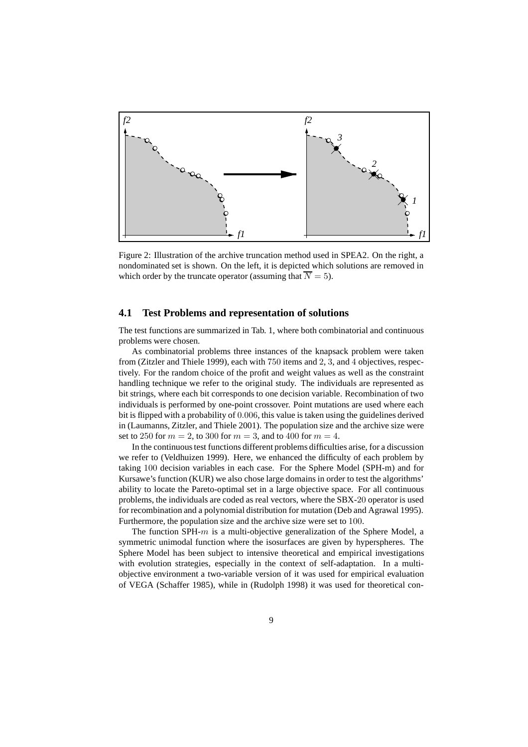

Figure 2: Illustration of the archive truncation method used in SPEA2. On the right, a nondominated set is shown. On the left, it is depicted which solutions are removed in which order by the truncate operator (assuming that  $\overline{N} = 5$ ).

## **4.1 Test Problems and representation of solutions**

The test functions are summarized in Tab. 1, where both combinatorial and continuous problems were chosen.

As combinatorial problems three instances of the knapsack problem were taken from (Zitzler and Thiele 1999), each with 750 items and 2, 3, and 4 objectives, respectively. For the random choice of the profit and weight values as well as the constraint handling technique we refer to the original study. The individuals are represented as bit strings, where each bit corresponds to one decision variable. Recombination of two individuals is performed by one-point crossover. Point mutations are used where each bit is flipped with a probability of 0.006, this value is taken using the guidelines derived in (Laumanns, Zitzler, and Thiele 2001). The population size and the archive size were set to 250 for  $m = 2$ , to 300 for  $m = 3$ , and to 400 for  $m = 4$ .

In the continuous test functions different problems difficulties arise, for a discussion we refer to (Veldhuizen 1999). Here, we enhanced the difficulty of each problem by taking 100 decision variables in each case. For the Sphere Model (SPH-m) and for Kursawe's function (KUR) we also chose large domains in order to test the algorithms' ability to locate the Pareto-optimal set in a large objective space. For all continuous problems, the individuals are coded as real vectors, where the SBX-20 operator is used for recombination and a polynomial distribution for mutation (Deb and Agrawal 1995). Furthermore, the population size and the archive size were set to 100.

The function SPH- $m$  is a multi-objective generalization of the Sphere Model, a symmetric unimodal function where the isosurfaces are given by hyperspheres. The Sphere Model has been subject to intensive theoretical and empirical investigations with evolution strategies, especially in the context of self-adaptation. In a multiobjective environment a two-variable version of it was used for empirical evaluation of VEGA (Schaffer 1985), while in (Rudolph 1998) it was used for theoretical con-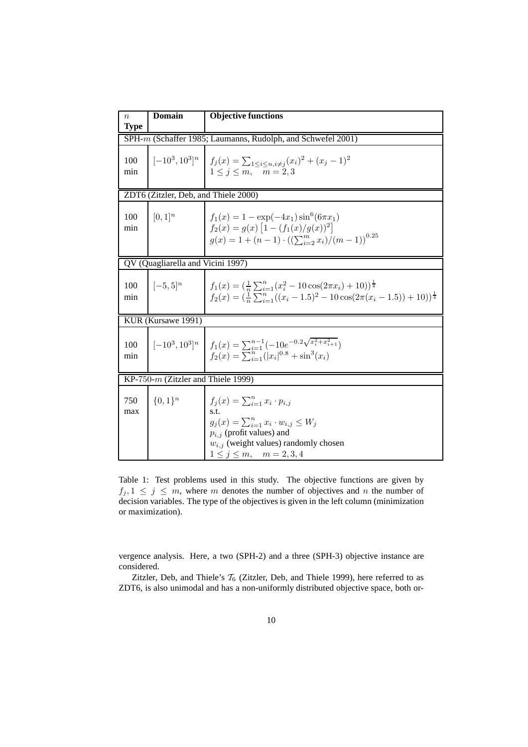| $\boldsymbol{n}$<br><b>Type</b>                             | <b>Domain</b> | <b>Objective functions</b>                                                                                                                                                                                               |
|-------------------------------------------------------------|---------------|--------------------------------------------------------------------------------------------------------------------------------------------------------------------------------------------------------------------------|
| SPH-m (Schaffer 1985; Laumanns, Rudolph, and Schwefel 2001) |               |                                                                                                                                                                                                                          |
| 100<br>min                                                  |               | $[-10^3, 10^3]^n$ $f_j(x) = \sum_{1 \le i \le n, i \ne j} (x_i)^2 + (x_j - 1)^2$<br>$1 \leq j \leq m, \quad m = 2, 3$                                                                                                    |
| ZDT6 (Zitzler, Deb, and Thiele 2000)                        |               |                                                                                                                                                                                                                          |
| 100<br>min                                                  | $[0,1]^{n}$   | $f_1(x) = 1 - \exp(-4x_1) \sin^6(6\pi x_1)$<br>$f_2(x) = g(x) \left[ 1 - (f_1(x)/g(x))^2 \right]$<br>$g(x) = 1 + (n - 1) \cdot ((\sum_{i=2}^{m} x_i)/(m - 1))^{0.25}$                                                    |
| QV (Quagliarella and Vicini 1997)                           |               |                                                                                                                                                                                                                          |
| 100<br>min                                                  | $[-5,5]^{n}$  | $f_1(x) = (\frac{1}{x}\sum_{i=1}^n(x_i^2-10\cos(2\pi x_i)+10))^{\frac{1}{4}}$<br>$f_2(x) = (\frac{1}{n}\sum_{i=1}^n((x_i-1.5)^2-10\cos(2\pi(x_i-1.5))+10))^{\frac{1}{4}}$                                                |
| KUR (Kursawe 1991)                                          |               |                                                                                                                                                                                                                          |
| 100<br>min                                                  |               | $[-10^3, 10^3]^n \mid f_1(x) = \sum_{i=1}^{n-1} (-10e^{-0.2\sqrt{x_i^2 + x_{i+1}^2}})$<br>$f_2(x) = \sum_{i=1}^{n-1} ( x_i ^{0.8} + \sin^3(x_i))$                                                                        |
| KP-750- $m$ (Zitzler and Thiele 1999)                       |               |                                                                                                                                                                                                                          |
| 750<br>max                                                  | $\{0,1\}^n$   | $f_i(x) = \sum_{i=1}^n x_i \cdot p_{i,j}$<br>s.t.<br>$g_j(x) = \sum_{i=1}^n x_i \cdot w_{i,j} \leq W_j$<br>$p_{i,j}$ (profit values) and<br>$w_{i,j}$ (weight values) randomly chosen<br>$1 \le j \le m$ , $m = 2, 3, 4$ |

Table 1: Test problems used in this study. The objective functions are given by  $f_i, 1 \leq j \leq m$ , where m denotes the number of objectives and n the number of decision variables. The type of the objectives is given in the left column (minimization or maximization).

vergence analysis. Here, a two (SPH-2) and a three (SPH-3) objective instance are considered.

Zitzler, Deb, and Thiele's  $\mathcal{T}_6$  (Zitzler, Deb, and Thiele 1999), here referred to as ZDT6, is also unimodal and has a non-uniformly distributed objective space, both or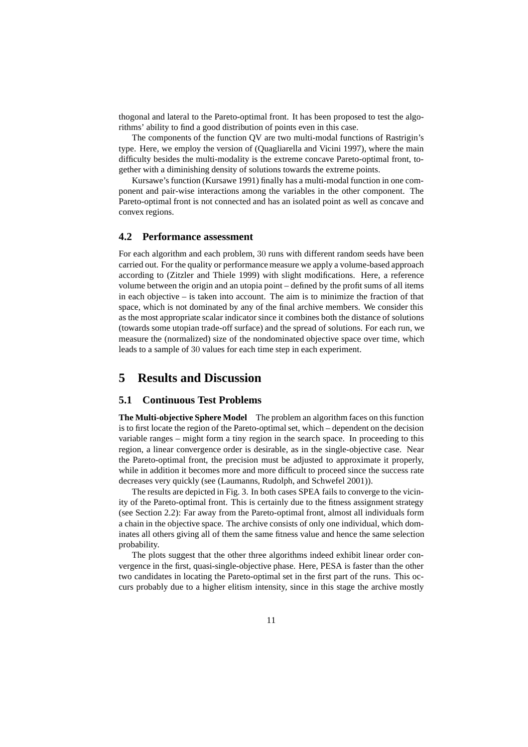thogonal and lateral to the Pareto-optimal front. It has been proposed to test the algorithms' ability to find a good distribution of points even in this case.

The components of the function QV are two multi-modal functions of Rastrigin's type. Here, we employ the version of (Quagliarella and Vicini 1997), where the main difficulty besides the multi-modality is the extreme concave Pareto-optimal front, together with a diminishing density of solutions towards the extreme points.

Kursawe's function (Kursawe 1991) finally has a multi-modal function in one component and pair-wise interactions among the variables in the other component. The Pareto-optimal front is not connected and has an isolated point as well as concave and convex regions.

#### **4.2 Performance assessment**

For each algorithm and each problem, 30 runs with different random seeds have been carried out. For the quality or performance measure we apply a volume-based approach according to (Zitzler and Thiele 1999) with slight modifications. Here, a reference volume between the origin and an utopia point – defined by the profit sums of all items in each objective – is taken into account. The aim is to minimize the fraction of that space, which is not dominated by any of the final archive members. We consider this as the most appropriate scalar indicator since it combines both the distance of solutions (towards some utopian trade-off surface) and the spread of solutions. For each run, we measure the (normalized) size of the nondominated objective space over time, which leads to a sample of 30 values for each time step in each experiment.

## **5 Results and Discussion**

#### **5.1 Continuous Test Problems**

**The Multi-objective Sphere Model** The problem an algorithm faces on this function is to first locate the region of the Pareto-optimal set, which – dependent on the decision variable ranges – might form a tiny region in the search space. In proceeding to this region, a linear convergence order is desirable, as in the single-objective case. Near the Pareto-optimal front, the precision must be adjusted to approximate it properly, while in addition it becomes more and more difficult to proceed since the success rate decreases very quickly (see (Laumanns, Rudolph, and Schwefel 2001)).

The results are depicted in Fig. 3. In both cases SPEA fails to converge to the vicinity of the Pareto-optimal front. This is certainly due to the fitness assignment strategy (see Section 2.2): Far away from the Pareto-optimal front, almost all individuals form a chain in the objective space. The archive consists of only one individual, which dominates all others giving all of them the same fitness value and hence the same selection probability.

The plots suggest that the other three algorithms indeed exhibit linear order convergence in the first, quasi-single-objective phase. Here, PESA is faster than the other two candidates in locating the Pareto-optimal set in the first part of the runs. This occurs probably due to a higher elitism intensity, since in this stage the archive mostly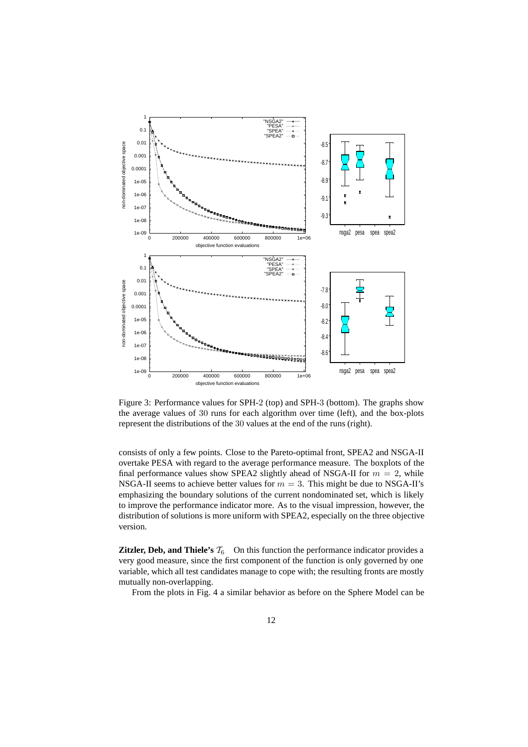

Figure 3: Performance values for SPH-2 (top) and SPH-3 (bottom). The graphs show the average values of 30 runs for each algorithm over time (left), and the box-plots represent the distributions of the 30 values at the end of the runs (right).

consists of only a few points. Close to the Pareto-optimal front, SPEA2 and NSGA-II overtake PESA with regard to the average performance measure. The boxplots of the final performance values show SPEA2 slightly ahead of NSGA-II for  $m = 2$ , while NSGA-II seems to achieve better values for  $m = 3$ . This might be due to NSGA-II's emphasizing the boundary solutions of the current nondominated set, which is likely to improve the performance indicator more. As to the visual impression, however, the distribution of solutions is more uniform with SPEA2, especially on the three objective version.

**Zitzler, Deb, and Thiele's**  $\mathcal{T}_6$  On this function the performance indicator provides a very good measure, since the first component of the function is only governed by one variable, which all test candidates manage to cope with; the resulting fronts are mostly mutually non-overlapping.

From the plots in Fig. 4 a similar behavior as before on the Sphere Model can be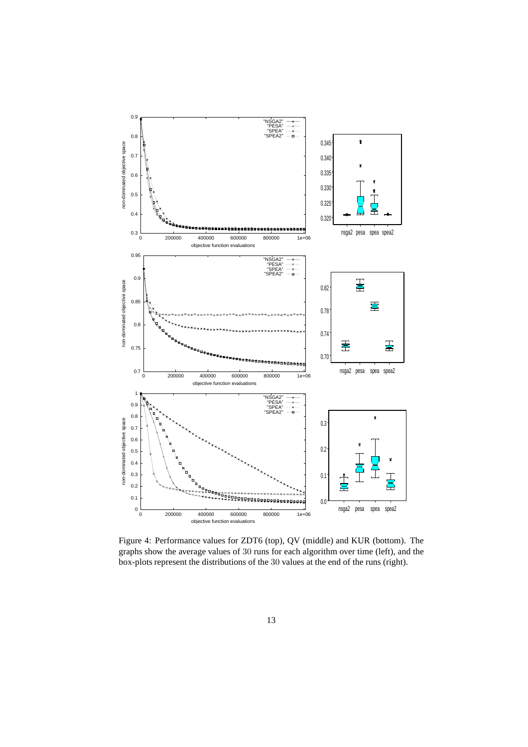

Figure 4: Performance values for ZDT6 (top), QV (middle) and KUR (bottom). The graphs show the average values of 30 runs for each algorithm over time (left), and the box-plots represent the distributions of the 30 values at the end of the runs (right).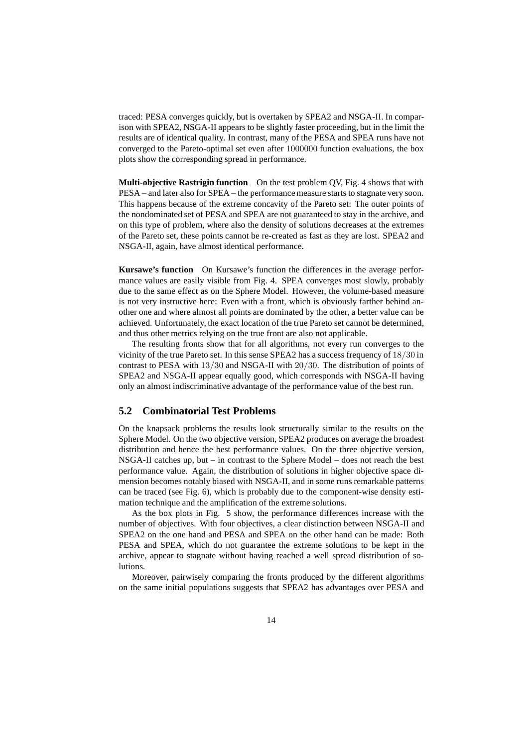traced: PESA converges quickly, but is overtaken by SPEA2 and NSGA-II. In comparison with SPEA2, NSGA-II appears to be slightly faster proceeding, but in the limit the results are of identical quality. In contrast, many of the PESA and SPEA runs have not converged to the Pareto-optimal set even after 1000000 function evaluations, the box plots show the corresponding spread in performance.

**Multi-objective Rastrigin function** On the test problem QV, Fig. 4 shows that with PESA – and later also for SPEA – the performance measure starts to stagnate very soon. This happens because of the extreme concavity of the Pareto set: The outer points of the nondominated set of PESA and SPEA are not guaranteed to stay in the archive, and on this type of problem, where also the density of solutions decreases at the extremes of the Pareto set, these points cannot be re-created as fast as they are lost. SPEA2 and NSGA-II, again, have almost identical performance.

**Kursawe's function** On Kursawe's function the differences in the average performance values are easily visible from Fig. 4. SPEA converges most slowly, probably due to the same effect as on the Sphere Model. However, the volume-based measure is not very instructive here: Even with a front, which is obviously farther behind another one and where almost all points are dominated by the other, a better value can be achieved. Unfortunately, the exact location of the true Pareto set cannot be determined, and thus other metrics relying on the true front are also not applicable.

The resulting fronts show that for all algorithms, not every run converges to the vicinity of the true Pareto set. In this sense SPEA2 has a success frequency of 18/30 in contrast to PESA with 13/30 and NSGA-II with 20/30. The distribution of points of SPEA2 and NSGA-II appear equally good, which corresponds with NSGA-II having only an almost indiscriminative advantage of the performance value of the best run.

#### **5.2 Combinatorial Test Problems**

On the knapsack problems the results look structurally similar to the results on the Sphere Model. On the two objective version, SPEA2 produces on average the broadest distribution and hence the best performance values. On the three objective version, NSGA-II catches up, but – in contrast to the Sphere Model – does not reach the best performance value. Again, the distribution of solutions in higher objective space dimension becomes notably biased with NSGA-II, and in some runs remarkable patterns can be traced (see Fig. 6), which is probably due to the component-wise density estimation technique and the amplification of the extreme solutions.

As the box plots in Fig. 5 show, the performance differences increase with the number of objectives. With four objectives, a clear distinction between NSGA-II and SPEA2 on the one hand and PESA and SPEA on the other hand can be made: Both PESA and SPEA, which do not guarantee the extreme solutions to be kept in the archive, appear to stagnate without having reached a well spread distribution of solutions.

Moreover, pairwisely comparing the fronts produced by the different algorithms on the same initial populations suggests that SPEA2 has advantages over PESA and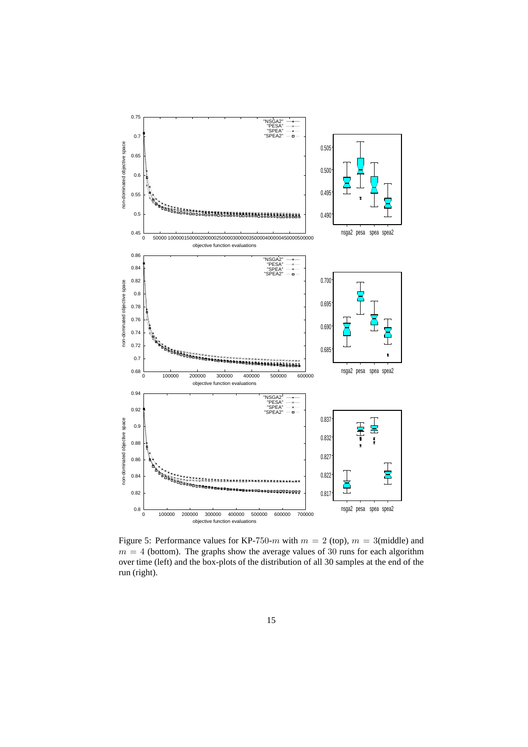

Figure 5: Performance values for KP-750- $m$  with  $m = 2$  (top),  $m = 3$ (middle) and  $m = 4$  (bottom). The graphs show the average values of 30 runs for each algorithm over time (left) and the box-plots of the distribution of all 30 samples at the end of the run (right).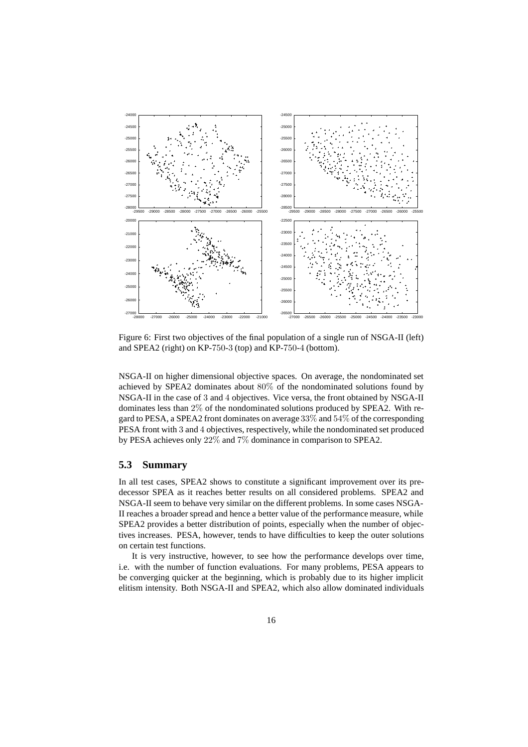

Figure 6: First two objectives of the final population of a single run of NSGA-II (left) and SPEA2 (right) on KP-750-3 (top) and KP-750-4 (bottom).

NSGA-II on higher dimensional objective spaces. On average, the nondominated set achieved by SPEA2 dominates about 80% of the nondominated solutions found by NSGA-II in the case of 3 and 4 objectives. Vice versa, the front obtained by NSGA-II dominates less than 2% of the nondominated solutions produced by SPEA2. With regard to PESA, a SPEA2 front dominates on average 33% and 54% of the corresponding PESA front with 3 and 4 objectives, respectively, while the nondominated set produced by PESA achieves only 22% and 7% dominance in comparison to SPEA2.

### **5.3 Summary**

In all test cases, SPEA2 shows to constitute a significant improvement over its predecessor SPEA as it reaches better results on all considered problems. SPEA2 and NSGA-II seem to behave very similar on the different problems. In some cases NSGA-II reaches a broader spread and hence a better value of the performance measure, while SPEA2 provides a better distribution of points, especially when the number of objectives increases. PESA, however, tends to have difficulties to keep the outer solutions on certain test functions.

It is very instructive, however, to see how the performance develops over time, i.e. with the number of function evaluations. For many problems, PESA appears to be converging quicker at the beginning, which is probably due to its higher implicit elitism intensity. Both NSGA-II and SPEA2, which also allow dominated individuals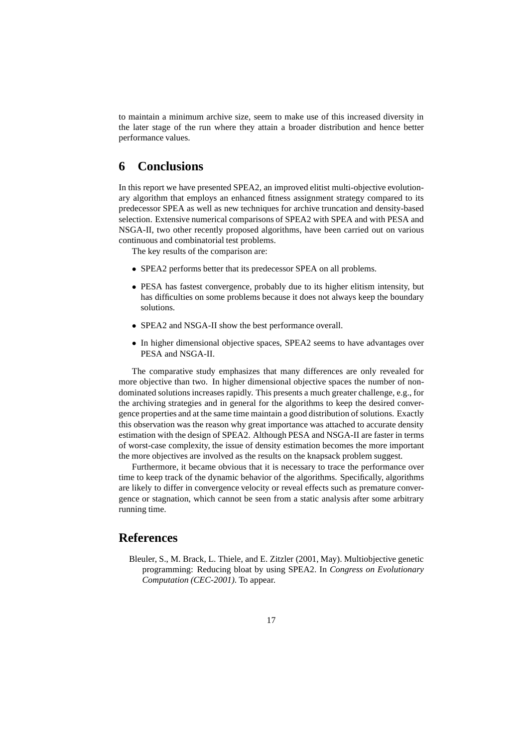to maintain a minimum archive size, seem to make use of this increased diversity in the later stage of the run where they attain a broader distribution and hence better performance values.

# **6 Conclusions**

In this report we have presented SPEA2, an improved elitist multi-objective evolutionary algorithm that employs an enhanced fitness assignment strategy compared to its predecessor SPEA as well as new techniques for archive truncation and density-based selection. Extensive numerical comparisons of SPEA2 with SPEA and with PESA and NSGA-II, two other recently proposed algorithms, have been carried out on various continuous and combinatorial test problems.

The key results of the comparison are:

- SPEA2 performs better that its predecessor SPEA on all problems.
- PESA has fastest convergence, probably due to its higher elitism intensity, but has difficulties on some problems because it does not always keep the boundary solutions.
- SPEA2 and NSGA-II show the best performance overall.
- In higher dimensional objective spaces, SPEA2 seems to have advantages over PESA and NSGA-II.

The comparative study emphasizes that many differences are only revealed for more objective than two. In higher dimensional objective spaces the number of nondominated solutions increases rapidly. This presents a much greater challenge, e.g., for the archiving strategies and in general for the algorithms to keep the desired convergence properties and at the same time maintain a good distribution of solutions. Exactly this observation was the reason why great importance was attached to accurate density estimation with the design of SPEA2. Although PESA and NSGA-II are faster in terms of worst-case complexity, the issue of density estimation becomes the more important the more objectives are involved as the results on the knapsack problem suggest.

Furthermore, it became obvious that it is necessary to trace the performance over time to keep track of the dynamic behavior of the algorithms. Specifically, algorithms are likely to differ in convergence velocity or reveal effects such as premature convergence or stagnation, which cannot be seen from a static analysis after some arbitrary running time.

## **References**

Bleuler, S., M. Brack, L. Thiele, and E. Zitzler (2001, May). Multiobjective genetic programming: Reducing bloat by using SPEA2. In *Congress on Evolutionary Computation (CEC-2001)*. To appear.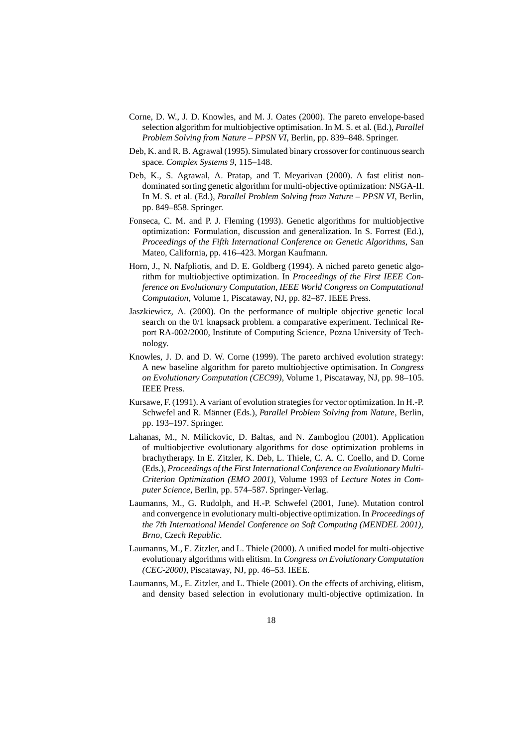- Corne, D. W., J. D. Knowles, and M. J. Oates (2000). The pareto envelope-based selection algorithm for multiobjective optimisation. In M. S. et al. (Ed.), *Parallel Problem Solving from Nature – PPSN VI*, Berlin, pp. 839–848. Springer.
- Deb, K. and R. B. Agrawal (1995). Simulated binary crossover for continuous search space. *Complex Systems 9*, 115–148.
- Deb, K., S. Agrawal, A. Pratap, and T. Meyarivan (2000). A fast elitist nondominated sorting genetic algorithm for multi-objective optimization: NSGA-II. In M. S. et al. (Ed.), *Parallel Problem Solving from Nature – PPSN VI*, Berlin, pp. 849–858. Springer.
- Fonseca, C. M. and P. J. Fleming (1993). Genetic algorithms for multiobjective optimization: Formulation, discussion and generalization. In S. Forrest (Ed.), *Proceedings of the Fifth International Conference on Genetic Algorithms*, San Mateo, California, pp. 416–423. Morgan Kaufmann.
- Horn, J., N. Nafpliotis, and D. E. Goldberg (1994). A niched pareto genetic algorithm for multiobjective optimization. In *Proceedings of the First IEEE Conference on Evolutionary Computation, IEEE World Congress on Computational Computation*, Volume 1, Piscataway, NJ, pp. 82–87. IEEE Press.
- Jaszkiewicz, A. (2000). On the performance of multiple objective genetic local search on the 0/1 knapsack problem. a comparative experiment. Technical Report RA-002/2000, Institute of Computing Science, Pozna University of Technology.
- Knowles, J. D. and D. W. Corne (1999). The pareto archived evolution strategy: A new baseline algorithm for pareto multiobjective optimisation. In *Congress on Evolutionary Computation (CEC99)*, Volume 1, Piscataway, NJ, pp. 98–105. IEEE Press.
- Kursawe, F. (1991). A variant of evolution strategies for vector optimization. In H.-P. Schwefel and R. Männer (Eds.), *Parallel Problem Solving from Nature*, Berlin, pp. 193–197. Springer.
- Lahanas, M., N. Milickovic, D. Baltas, and N. Zamboglou (2001). Application of multiobjective evolutionary algorithms for dose optimization problems in brachytherapy. In E. Zitzler, K. Deb, L. Thiele, C. A. C. Coello, and D. Corne (Eds.), *Proceedings of the First International Conference on Evolutionary Multi-Criterion Optimization (EMO 2001)*, Volume 1993 of *Lecture Notes in Computer Science*, Berlin, pp. 574–587. Springer-Verlag.
- Laumanns, M., G. Rudolph, and H.-P. Schwefel (2001, June). Mutation control and convergence in evolutionary multi-objective optimization. In *Proceedings of the 7th International Mendel Conference on Soft Computing (MENDEL 2001), Brno, Czech Republic*.
- Laumanns, M., E. Zitzler, and L. Thiele (2000). A unified model for multi-objective evolutionary algorithms with elitism. In *Congress on Evolutionary Computation (CEC-2000)*, Piscataway, NJ, pp. 46–53. IEEE.
- Laumanns, M., E. Zitzler, and L. Thiele (2001). On the effects of archiving, elitism, and density based selection in evolutionary multi-objective optimization. In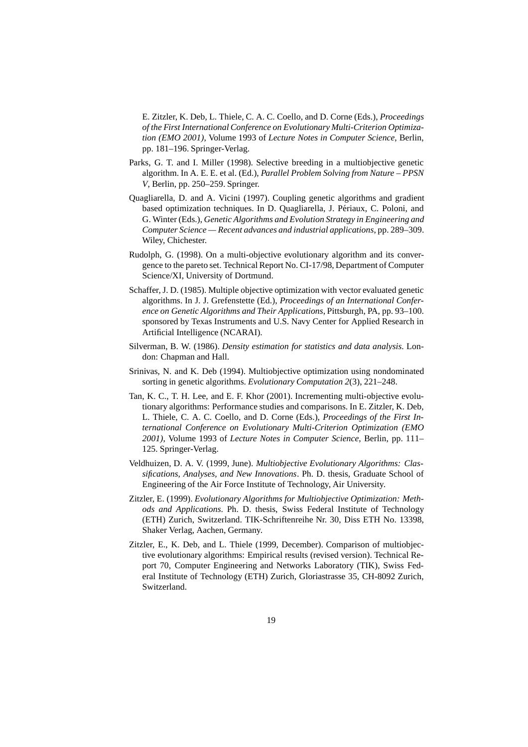E. Zitzler, K. Deb, L. Thiele, C. A. C. Coello, and D. Corne (Eds.), *Proceedings of the First International Conference on Evolutionary Multi-Criterion Optimization (EMO 2001)*, Volume 1993 of *Lecture Notes in Computer Science*, Berlin, pp. 181–196. Springer-Verlag.

- Parks, G. T. and I. Miller (1998). Selective breeding in a multiobjective genetic algorithm. In A. E. E. et al. (Ed.), *Parallel Problem Solving from Nature – PPSN V*, Berlin, pp. 250–259. Springer.
- Quagliarella, D. and A. Vicini (1997). Coupling genetic algorithms and gradient based optimization techniques. In D. Quagliarella, J. Périaux, C. Poloni, and G. Winter (Eds.), *Genetic Algorithms and Evolution Strategy in Engineering and Computer Science — Recent advances and industrial applications*, pp. 289–309. Wiley, Chichester.
- Rudolph, G. (1998). On a multi-objective evolutionary algorithm and its convergence to the pareto set. Technical Report No. CI-17/98, Department of Computer Science/XI, University of Dortmund.
- Schaffer, J. D. (1985). Multiple objective optimization with vector evaluated genetic algorithms. In J. J. Grefenstette (Ed.), *Proceedings of an International Conference on Genetic Algorithms and Their Applications*, Pittsburgh, PA, pp. 93–100. sponsored by Texas Instruments and U.S. Navy Center for Applied Research in Artificial Intelligence (NCARAI).
- Silverman, B. W. (1986). *Density estimation for statistics and data analysis*. London: Chapman and Hall.
- Srinivas, N. and K. Deb (1994). Multiobjective optimization using nondominated sorting in genetic algorithms. *Evolutionary Computation 2*(3), 221–248.
- Tan, K. C., T. H. Lee, and E. F. Khor (2001). Incrementing multi-objective evolutionary algorithms: Performance studies and comparisons. In E. Zitzler, K. Deb, L. Thiele, C. A. C. Coello, and D. Corne (Eds.), *Proceedings of the First International Conference on Evolutionary Multi-Criterion Optimization (EMO 2001)*, Volume 1993 of *Lecture Notes in Computer Science*, Berlin, pp. 111– 125. Springer-Verlag.
- Veldhuizen, D. A. V. (1999, June). *Multiobjective Evolutionary Algorithms: Classifications, Analyses, and New Innovations*. Ph. D. thesis, Graduate School of Engineering of the Air Force Institute of Technology, Air University.
- Zitzler, E. (1999). *Evolutionary Algorithms for Multiobjective Optimization: Methods and Applications*. Ph. D. thesis, Swiss Federal Institute of Technology (ETH) Zurich, Switzerland. TIK-Schriftenreihe Nr. 30, Diss ETH No. 13398, Shaker Verlag, Aachen, Germany.
- Zitzler, E., K. Deb, and L. Thiele (1999, December). Comparison of multiobjective evolutionary algorithms: Empirical results (revised version). Technical Report 70, Computer Engineering and Networks Laboratory (TIK), Swiss Federal Institute of Technology (ETH) Zurich, Gloriastrasse 35, CH-8092 Zurich, Switzerland.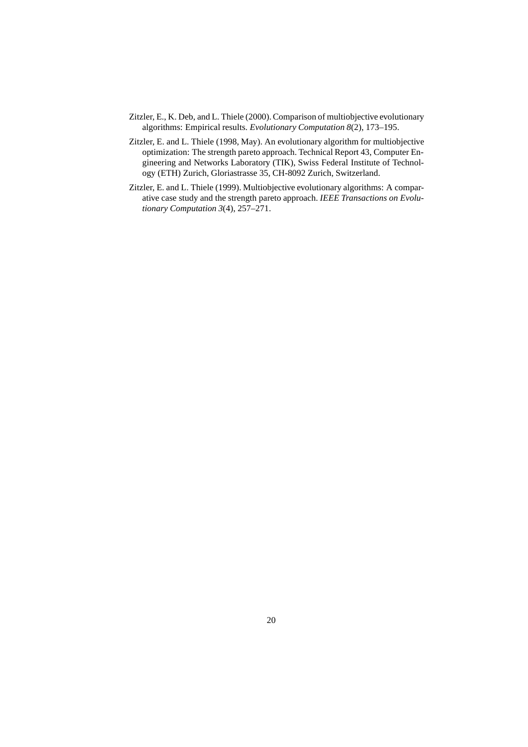- Zitzler, E., K. Deb, and L. Thiele (2000). Comparison of multiobjective evolutionary algorithms: Empirical results. *Evolutionary Computation 8*(2), 173–195.
- Zitzler, E. and L. Thiele (1998, May). An evolutionary algorithm for multiobjective optimization: The strength pareto approach. Technical Report 43, Computer Engineering and Networks Laboratory (TIK), Swiss Federal Institute of Technology (ETH) Zurich, Gloriastrasse 35, CH-8092 Zurich, Switzerland.
- Zitzler, E. and L. Thiele (1999). Multiobjective evolutionary algorithms: A comparative case study and the strength pareto approach. *IEEE Transactions on Evolutionary Computation 3*(4), 257–271.